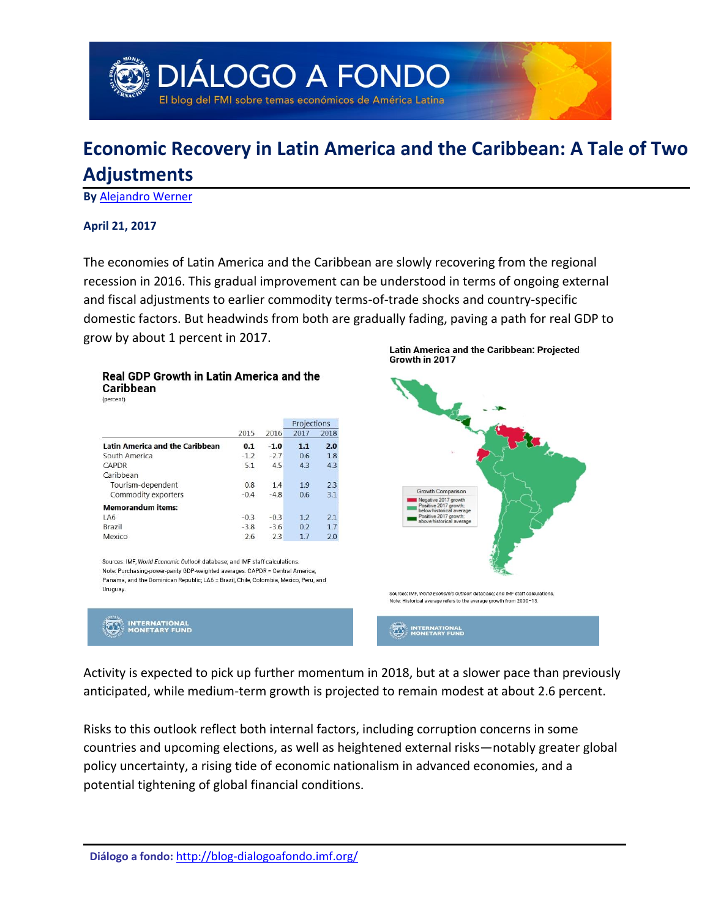

# **Economic Recovery in Latin America and the Caribbean: A Tale of Two Adjustments**

**By** [Alejandro Werner](#page-4-0)

#### **April 21, 2017**

The economies of Latin America and the Caribbean are slowly recovering from the regional recession in 2016. This gradual improvement can be understood in terms of ongoing external and fiscal adjustments to earlier commodity terms-of-trade shocks and country-specific domestic factors. But headwinds from both are gradually fading, paving a path for real GDP to grow by about 1 percent in 2017.

#### Real GDP Growth in Latin America and the **Caribbean**

(percent)

|                                        | 2015   | 2016   | Projections |      |
|----------------------------------------|--------|--------|-------------|------|
|                                        |        |        | 2017        | 2018 |
| <b>Latin America and the Caribbean</b> | 0.1    | $-1.0$ | 1.1         | 2.0  |
| South America                          | $-1.2$ | $-2.7$ | 0.6         | 1.8  |
| CAPDR                                  | 5.1    | 4.5    | 4.3         | 4.3  |
| Caribbean                              |        |        |             |      |
| Tourism-dependent                      | 0.8    | 1.4    | 1.9         | 2.3  |
| Commodity exporters                    | $-0.4$ | $-4.8$ | 0.6         | 3.1  |
| <b>Memorandum items:</b>               |        |        |             |      |
| LA6                                    | $-0.3$ | $-0.3$ | 1.2         | 2.1  |
| Brazil                                 | $-3.8$ | $-3.6$ | 0.2         | 1.7  |
| Mexico                                 | 2.6    | 2.3    | 1.7         | 2.0  |

Note: Purchasing-power-parity GDP-weighted averages. CAPDR = Central America, Panama, and the Dominican Republic; LA6 = Brazil, Chile, Colombia, Mexico, Peru, and Uruguay.



Latin America and the Caribbean: Projected Growth in 2017



Activity is expected to pick up further momentum in 2018, but at a slower pace than previously anticipated, while medium-term growth is projected to remain modest at about 2.6 percent.

Risks to this outlook reflect both internal factors, including corruption concerns in some countries and upcoming elections, as well as heightened external risks—notably greater global policy uncertainty, a rising tide of economic nationalism in advanced economies, and a potential tightening of global financial conditions.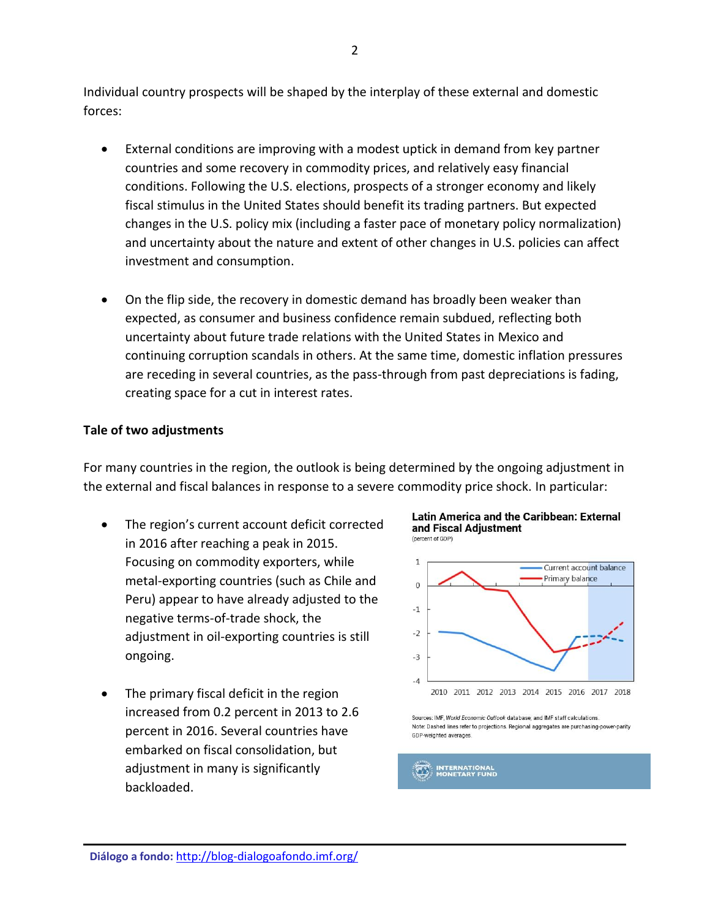Individual country prospects will be shaped by the interplay of these external and domestic forces:

- External conditions are improving with a modest uptick in demand from key partner countries and some recovery in commodity prices, and relatively easy financial conditions. Following the U.S. elections, prospects of a stronger economy and likely fiscal stimulus in the United States should benefit its trading partners. But expected changes in the U.S. policy mix (including a faster pace of monetary policy normalization) and uncertainty about the nature and extent of other changes in U.S. policies can affect investment and consumption.
- On the flip side, the recovery in domestic demand has broadly been weaker than expected, as consumer and business confidence remain subdued, reflecting both uncertainty about future trade relations with the United States in Mexico and continuing corruption scandals in others. At the same time, domestic inflation pressures are receding in several countries, as the pass-through from past depreciations is fading, creating space for a cut in interest rates.

#### **Tale of two adjustments**

For many countries in the region, the outlook is being determined by the ongoing adjustment in the external and fiscal balances in response to a severe commodity price shock. In particular:

- The region's current account deficit corrected in 2016 after reaching a peak in 2015. Focusing on commodity exporters, while metal-exporting countries (such as Chile and Peru) appear to have already adjusted to the negative terms-of-trade shock, the adjustment in oil-exporting countries is still ongoing.
- The primary fiscal deficit in the region increased from 0.2 percent in 2013 to 2.6 percent in 2016. Several countries have embarked on fiscal consolidation, but adjustment in many is significantly backloaded.

**Latin America and the Caribbean: External** and Fiscal Adjustment (percent of GDP)



Sources: IMF, World Economic Outlook database; and IMF staff calculations. Note: Dashed lines refer to projections. Regional aggregates are purchasing-power-parity GDP-weighted averages.

#### **INTERNATIONAL**<br>MONETARY FUND  $(42)$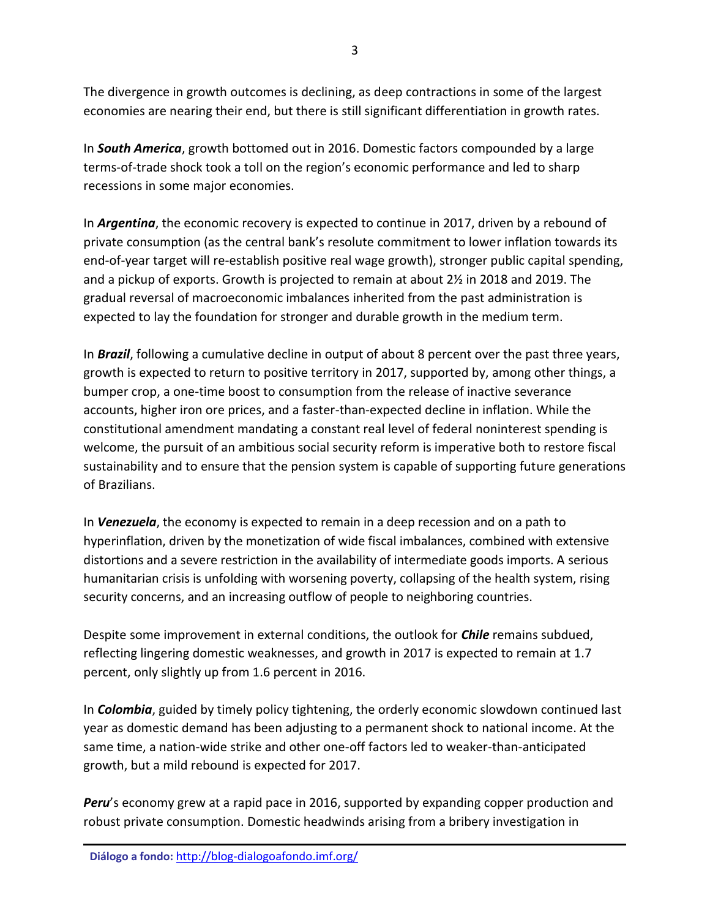The divergence in growth outcomes is declining, as deep contractions in some of the largest economies are nearing their end, but there is still significant differentiation in growth rates.

In *South America*, growth bottomed out in 2016. Domestic factors compounded by a large terms-of-trade shock took a toll on the region's economic performance and led to sharp recessions in some major economies.

In *Argentina*, the economic recovery is expected to continue in 2017, driven by a rebound of private consumption (as the central bank's resolute commitment to lower inflation towards its end-of-year target will re-establish positive real wage growth), stronger public capital spending, and a pickup of exports. Growth is projected to remain at about 2½ in 2018 and 2019. The gradual reversal of macroeconomic imbalances inherited from the past administration is expected to lay the foundation for stronger and durable growth in the medium term.

In *Brazil*, following a cumulative decline in output of about 8 percent over the past three years, growth is expected to return to positive territory in 2017, supported by, among other things, a bumper crop, a one-time boost to consumption from the release of inactive severance accounts, higher iron ore prices, and a faster-than-expected decline in inflation. While the constitutional amendment mandating a constant real level of federal noninterest spending is welcome, the pursuit of an ambitious social security reform is imperative both to restore fiscal sustainability and to ensure that the pension system is capable of supporting future generations of Brazilians.

In *Venezuela*, the economy is expected to remain in a deep recession and on a path to hyperinflation, driven by the monetization of wide fiscal imbalances, combined with extensive distortions and a severe restriction in the availability of intermediate goods imports. A serious humanitarian crisis is unfolding with worsening poverty, collapsing of the health system, rising security concerns, and an increasing outflow of people to neighboring countries.

Despite some improvement in external conditions, the outlook for *Chile* remains subdued, reflecting lingering domestic weaknesses, and growth in 2017 is expected to remain at 1.7 percent, only slightly up from 1.6 percent in 2016.

In *Colombia*, guided by timely policy tightening, the orderly economic slowdown continued last year as domestic demand has been adjusting to a permanent shock to national income. At the same time, a nation-wide strike and other one-off factors led to weaker-than-anticipated growth, but a mild rebound is expected for 2017.

*Peru*'s economy grew at a rapid pace in 2016, supported by expanding copper production and robust private consumption. Domestic headwinds arising from a bribery investigation in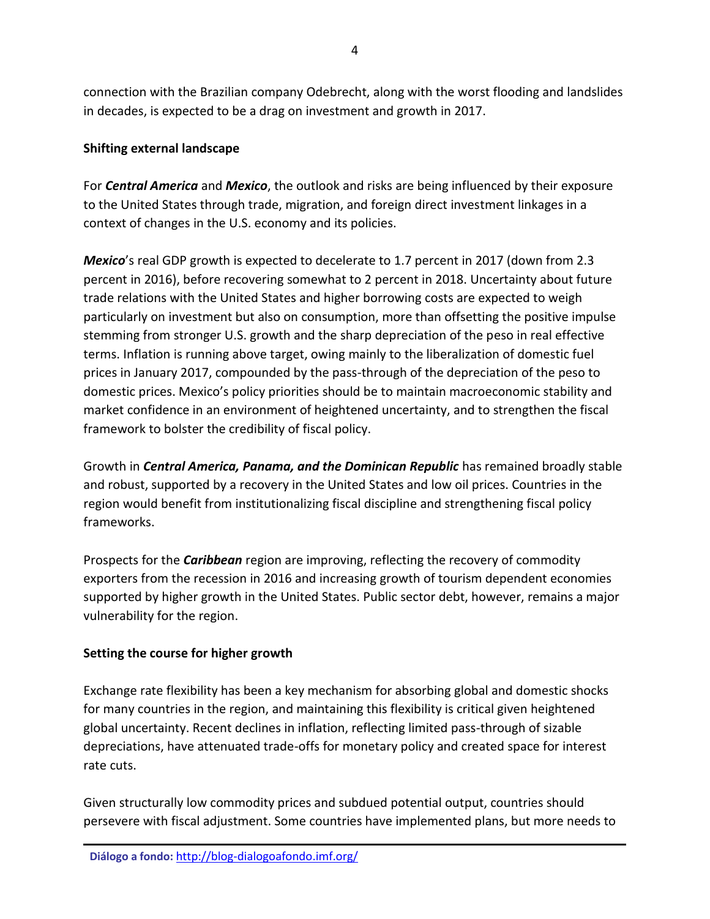connection with the Brazilian company Odebrecht, along with the worst flooding and landslides in decades, is expected to be a drag on investment and growth in 2017.

## **Shifting external landscape**

For *Central America* and *Mexico*, the outlook and risks are being influenced by their exposure to the United States through trade, migration, and foreign direct investment linkages in a context of changes in the U.S. economy and its policies.

*Mexico*'s real GDP growth is expected to decelerate to 1.7 percent in 2017 (down from 2.3 percent in 2016), before recovering somewhat to 2 percent in 2018. Uncertainty about future trade relations with the United States and higher borrowing costs are expected to weigh particularly on investment but also on consumption, more than offsetting the positive impulse stemming from stronger U.S. growth and the sharp depreciation of the peso in real effective terms. Inflation is running above target, owing mainly to the liberalization of domestic fuel prices in January 2017, compounded by the pass-through of the depreciation of the peso to domestic prices. Mexico's policy priorities should be to maintain macroeconomic stability and market confidence in an environment of heightened uncertainty, and to strengthen the fiscal framework to bolster the credibility of fiscal policy.

Growth in *Central America, Panama, and the Dominican Republic* has remained broadly stable and robust, supported by a recovery in the United States and low oil prices. Countries in the region would benefit from institutionalizing fiscal discipline and strengthening fiscal policy frameworks.

Prospects for the *Caribbean* region are improving, reflecting the recovery of commodity exporters from the recession in 2016 and increasing growth of tourism dependent economies supported by higher growth in the United States. Public sector debt, however, remains a major vulnerability for the region.

### **Setting the course for higher growth**

Exchange rate flexibility has been a key mechanism for absorbing global and domestic shocks for many countries in the region, and maintaining this flexibility is critical given heightened global uncertainty. Recent declines in inflation, reflecting limited pass-through of sizable depreciations, have attenuated trade-offs for monetary policy and created space for interest rate cuts.

Given structurally low commodity prices and subdued potential output, countries should persevere with fiscal adjustment. Some countries have implemented plans, but more needs to